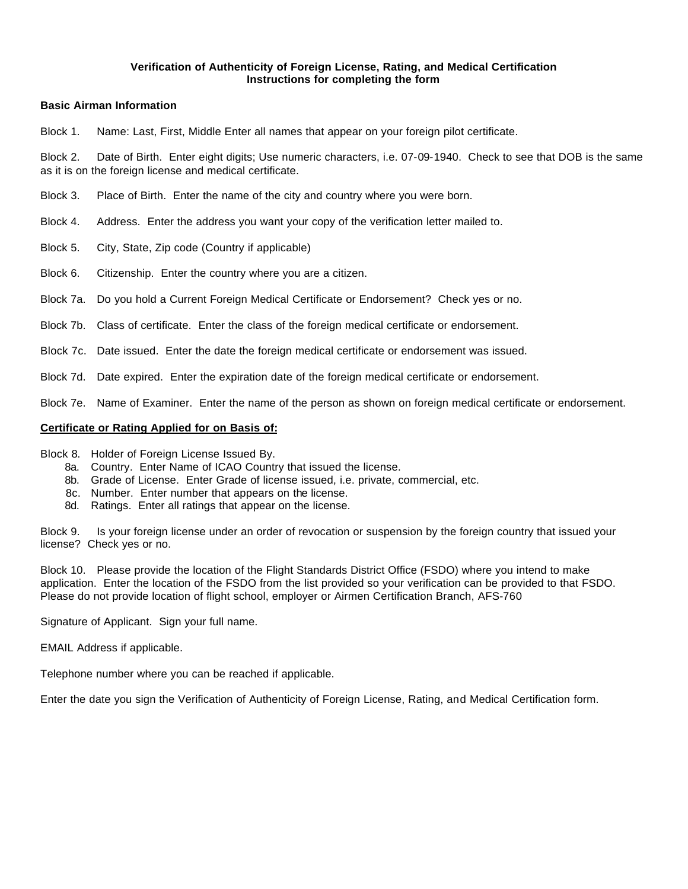### **Verification of Authenticity of Foreign License, Rating, and Medical Certification Instructions for completing the form**

## **Basic Airman Information**

Block 1. Name: Last, First, Middle Enter all names that appear on your foreign pilot certificate.

Block 2. Date of Birth. Enter eight digits; Use numeric characters, i.e. 07-09-1940. Check to see that DOB is the same as it is on the foreign license and medical certificate.

- Block 3. Place of Birth. Enter the name of the city and country where you were born.
- Block 4. Address. Enter the address you want your copy of the verification letter mailed to.
- Block 5. City, State, Zip code (Country if applicable)
- Block 6. Citizenship. Enter the country where you are a citizen.
- Block 7a. Do you hold a Current Foreign Medical Certificate or Endorsement? Check yes or no.
- Block 7b. Class of certificate. Enter the class of the foreign medical certificate or endorsement.
- Block 7c. Date issued. Enter the date the foreign medical certificate or endorsement was issued.
- Block 7d. Date expired. Enter the expiration date of the foreign medical certificate or endorsement.
- Block 7e. Name of Examiner. Enter the name of the person as shown on foreign medical certificate or endorsement.

#### **Certificate or Rating Applied for on Basis of:**

- Block 8. Holder of Foreign License Issued By.
	- 8a. Country. Enter Name of ICAO Country that issued the license.
	- 8b. Grade of License. Enter Grade of license issued, i.e. private, commercial, etc.
	- 8c. Number. Enter number that appears on the license.
	- 8d. Ratings. Enter all ratings that appear on the license.

Block 9. Is your foreign license under an order of revocation or suspension by the foreign country that issued your license? Check yes or no.

Block 10. Please provide the location of the Flight Standards District Office (FSDO) where you intend to make application. Enter the location of the FSDO from the list provided so your verification can be provided to that FSDO. Please do not provide location of flight school, employer or Airmen Certification Branch, AFS-760

Signature of Applicant. Sign your full name.

EMAIL Address if applicable.

Telephone number where you can be reached if applicable.

Enter the date you sign the Verification of Authenticity of Foreign License, Rating, and Medical Certification form.